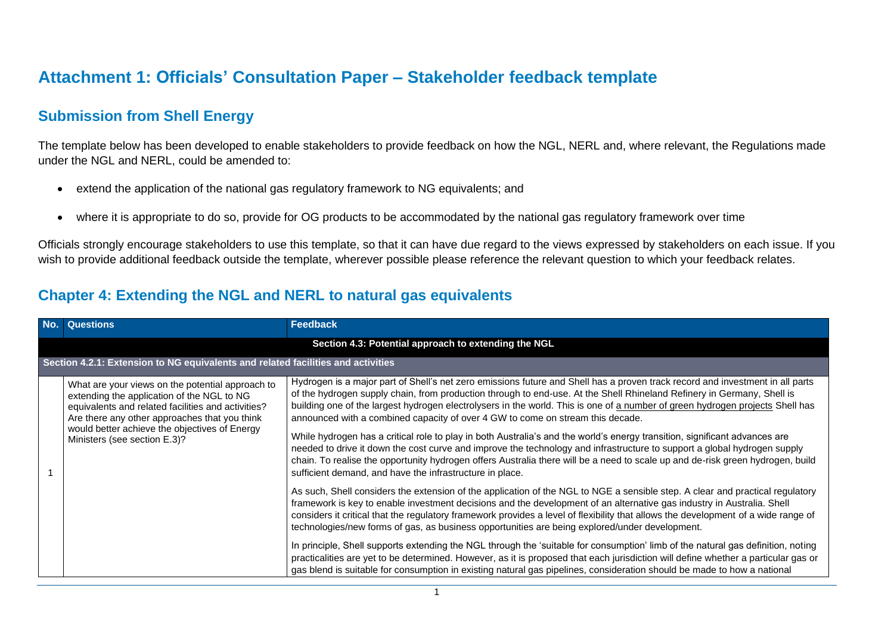## **Attachment 1: Officials' Consultation Paper – Stakeholder feedback template**

## **Submission from Shell Energy**

The template below has been developed to enable stakeholders to provide feedback on how the NGL, NERL and, where relevant, the Regulations made under the NGL and NERL, could be amended to:

- extend the application of the national gas regulatory framework to NG equivalents; and
- where it is appropriate to do so, provide for OG products to be accommodated by the national gas regulatory framework over time

Officials strongly encourage stakeholders to use this template, so that it can have due regard to the views expressed by stakeholders on each issue. If you wish to provide additional feedback outside the template, wherever possible please reference the relevant question to which your feedback relates.

## **Chapter 4: Extending the NGL and NERL to natural gas equivalents**

| No. Questions                                                                                                                                                                                                                                                                          | <b>Feedback</b>                                                                                                                                                                                                                                                                                                                                                                                                                                                                                                                                                                                                                                                                                                                                                                                                                                                                                                                    |  |
|----------------------------------------------------------------------------------------------------------------------------------------------------------------------------------------------------------------------------------------------------------------------------------------|------------------------------------------------------------------------------------------------------------------------------------------------------------------------------------------------------------------------------------------------------------------------------------------------------------------------------------------------------------------------------------------------------------------------------------------------------------------------------------------------------------------------------------------------------------------------------------------------------------------------------------------------------------------------------------------------------------------------------------------------------------------------------------------------------------------------------------------------------------------------------------------------------------------------------------|--|
|                                                                                                                                                                                                                                                                                        | Section 4.3: Potential approach to extending the NGL                                                                                                                                                                                                                                                                                                                                                                                                                                                                                                                                                                                                                                                                                                                                                                                                                                                                               |  |
| Section 4.2.1: Extension to NG equivalents and related facilities and activities                                                                                                                                                                                                       |                                                                                                                                                                                                                                                                                                                                                                                                                                                                                                                                                                                                                                                                                                                                                                                                                                                                                                                                    |  |
| What are your views on the potential approach to<br>extending the application of the NGL to NG<br>equivalents and related facilities and activities?<br>Are there any other approaches that you think<br>would better achieve the objectives of Energy<br>Ministers (see section E.3)? | Hydrogen is a major part of Shell's net zero emissions future and Shell has a proven track record and investment in all parts<br>of the hydrogen supply chain, from production through to end-use. At the Shell Rhineland Refinery in Germany, Shell is<br>building one of the largest hydrogen electrolysers in the world. This is one of a number of green hydrogen projects Shell has<br>announced with a combined capacity of over 4 GW to come on stream this decade.<br>While hydrogen has a critical role to play in both Australia's and the world's energy transition, significant advances are<br>needed to drive it down the cost curve and improve the technology and infrastructure to support a global hydrogen supply<br>chain. To realise the opportunity hydrogen offers Australia there will be a need to scale up and de-risk green hydrogen, build<br>sufficient demand, and have the infrastructure in place. |  |
|                                                                                                                                                                                                                                                                                        | As such, Shell considers the extension of the application of the NGL to NGE a sensible step. A clear and practical regulatory<br>framework is key to enable investment decisions and the development of an alternative gas industry in Australia. Shell<br>considers it critical that the regulatory framework provides a level of flexibility that allows the development of a wide range of<br>technologies/new forms of gas, as business opportunities are being explored/under development.<br>In principle, Shell supports extending the NGL through the 'suitable for consumption' limb of the natural gas definition, noting                                                                                                                                                                                                                                                                                                |  |
|                                                                                                                                                                                                                                                                                        | practicalities are yet to be determined. However, as it is proposed that each jurisdiction will define whether a particular gas or<br>gas blend is suitable for consumption in existing natural gas pipelines, consideration should be made to how a national                                                                                                                                                                                                                                                                                                                                                                                                                                                                                                                                                                                                                                                                      |  |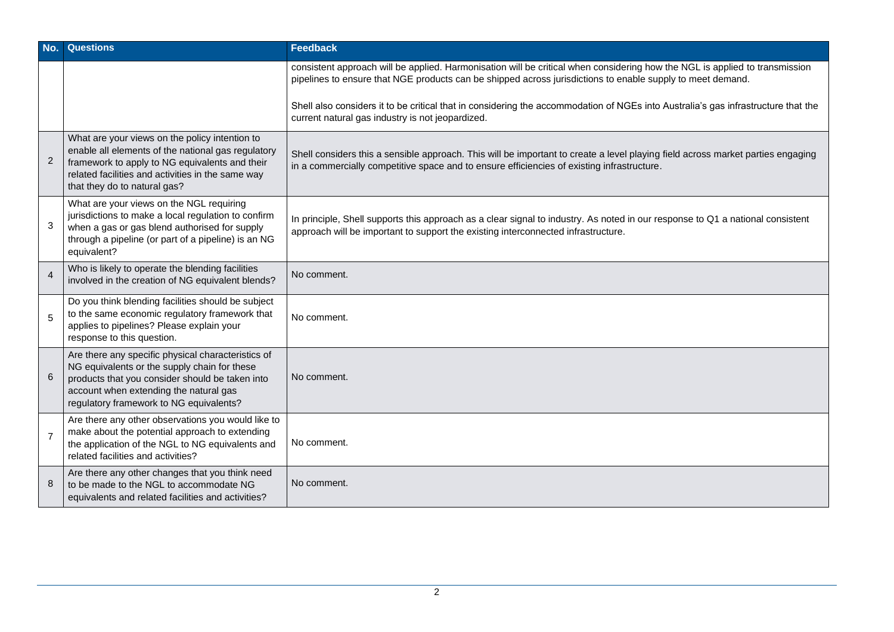| No.            | <b>Questions</b>                                                                                                                                                                                                                            | <b>Feedback</b>                                                                                                                                                                                                                           |
|----------------|---------------------------------------------------------------------------------------------------------------------------------------------------------------------------------------------------------------------------------------------|-------------------------------------------------------------------------------------------------------------------------------------------------------------------------------------------------------------------------------------------|
|                |                                                                                                                                                                                                                                             | consistent approach will be applied. Harmonisation will be critical when considering how the NGL is applied to transmission<br>pipelines to ensure that NGE products can be shipped across jurisdictions to enable supply to meet demand. |
|                |                                                                                                                                                                                                                                             | Shell also considers it to be critical that in considering the accommodation of NGEs into Australia's gas infrastructure that the<br>current natural gas industry is not jeopardized.                                                     |
| $\overline{2}$ | What are your views on the policy intention to<br>enable all elements of the national gas regulatory<br>framework to apply to NG equivalents and their<br>related facilities and activities in the same way<br>that they do to natural gas? | Shell considers this a sensible approach. This will be important to create a level playing field across market parties engaging<br>in a commercially competitive space and to ensure efficiencies of existing infrastructure.             |
| 3              | What are your views on the NGL requiring<br>jurisdictions to make a local regulation to confirm<br>when a gas or gas blend authorised for supply<br>through a pipeline (or part of a pipeline) is an NG<br>equivalent?                      | In principle, Shell supports this approach as a clear signal to industry. As noted in our response to Q1 a national consistent<br>approach will be important to support the existing interconnected infrastructure.                       |
| $\overline{4}$ | Who is likely to operate the blending facilities<br>involved in the creation of NG equivalent blends?                                                                                                                                       | No comment.                                                                                                                                                                                                                               |
| 5              | Do you think blending facilities should be subject<br>to the same economic regulatory framework that<br>applies to pipelines? Please explain your<br>response to this question.                                                             | No comment.                                                                                                                                                                                                                               |
| 6              | Are there any specific physical characteristics of<br>NG equivalents or the supply chain for these<br>products that you consider should be taken into<br>account when extending the natural gas<br>regulatory framework to NG equivalents?  | No comment.                                                                                                                                                                                                                               |
| $\overline{7}$ | Are there any other observations you would like to<br>make about the potential approach to extending<br>the application of the NGL to NG equivalents and<br>related facilities and activities?                                              | No comment.                                                                                                                                                                                                                               |
| 8              | Are there any other changes that you think need<br>to be made to the NGL to accommodate NG<br>equivalents and related facilities and activities?                                                                                            | No comment.                                                                                                                                                                                                                               |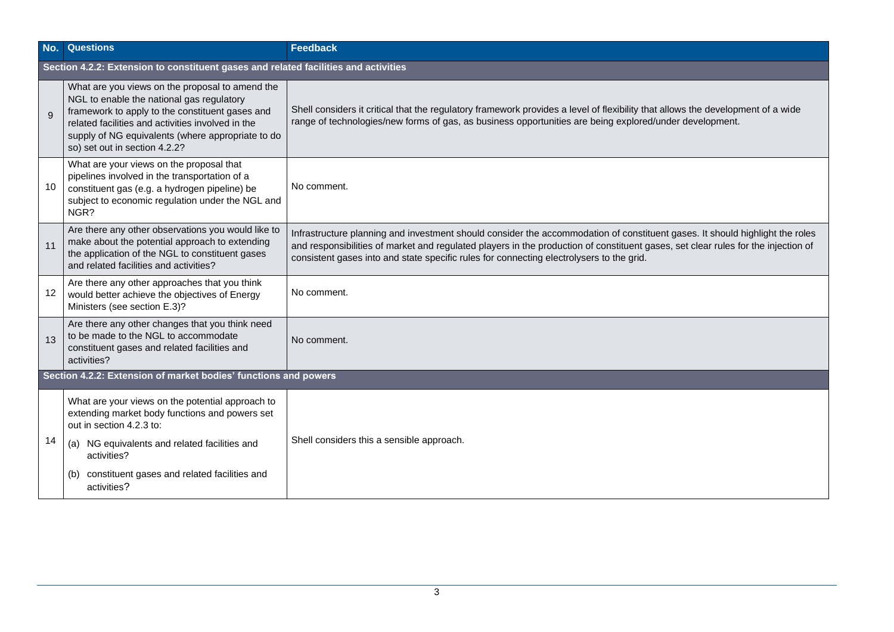| No.          | <b>Questions</b>                                                                                                                                                                                                                                                                           | <b>Feedback</b>                                                                                                                                                                                                                                                                                                                                               |  |  |
|--------------|--------------------------------------------------------------------------------------------------------------------------------------------------------------------------------------------------------------------------------------------------------------------------------------------|---------------------------------------------------------------------------------------------------------------------------------------------------------------------------------------------------------------------------------------------------------------------------------------------------------------------------------------------------------------|--|--|
|              | Section 4.2.2: Extension to constituent gases and related facilities and activities                                                                                                                                                                                                        |                                                                                                                                                                                                                                                                                                                                                               |  |  |
| $\mathbf{Q}$ | What are you views on the proposal to amend the<br>NGL to enable the national gas regulatory<br>framework to apply to the constituent gases and<br>related facilities and activities involved in the<br>supply of NG equivalents (where appropriate to do<br>so) set out in section 4.2.2? | Shell considers it critical that the regulatory framework provides a level of flexibility that allows the development of a wide<br>range of technologies/new forms of gas, as business opportunities are being explored/under development.                                                                                                                    |  |  |
| 10           | What are your views on the proposal that<br>pipelines involved in the transportation of a<br>constituent gas (e.g. a hydrogen pipeline) be<br>subject to economic regulation under the NGL and<br>NGR?                                                                                     | No comment.                                                                                                                                                                                                                                                                                                                                                   |  |  |
| 11           | Are there any other observations you would like to<br>make about the potential approach to extending<br>the application of the NGL to constituent gases<br>and related facilities and activities?                                                                                          | Infrastructure planning and investment should consider the accommodation of constituent gases. It should highlight the roles<br>and responsibilities of market and regulated players in the production of constituent gases, set clear rules for the injection of<br>consistent gases into and state specific rules for connecting electrolysers to the grid. |  |  |
| 12           | Are there any other approaches that you think<br>would better achieve the objectives of Energy<br>Ministers (see section E.3)?                                                                                                                                                             | No comment.                                                                                                                                                                                                                                                                                                                                                   |  |  |
| 13           | Are there any other changes that you think need<br>to be made to the NGL to accommodate<br>constituent gases and related facilities and<br>activities?                                                                                                                                     | No comment.                                                                                                                                                                                                                                                                                                                                                   |  |  |
|              | Section 4.2.2: Extension of market bodies' functions and powers                                                                                                                                                                                                                            |                                                                                                                                                                                                                                                                                                                                                               |  |  |
| 14           | What are your views on the potential approach to<br>extending market body functions and powers set<br>out in section 4.2.3 to:<br>(a) NG equivalents and related facilities and<br>activities?                                                                                             | Shell considers this a sensible approach.                                                                                                                                                                                                                                                                                                                     |  |  |
|              | constituent gases and related facilities and<br>(b)<br>activities?                                                                                                                                                                                                                         |                                                                                                                                                                                                                                                                                                                                                               |  |  |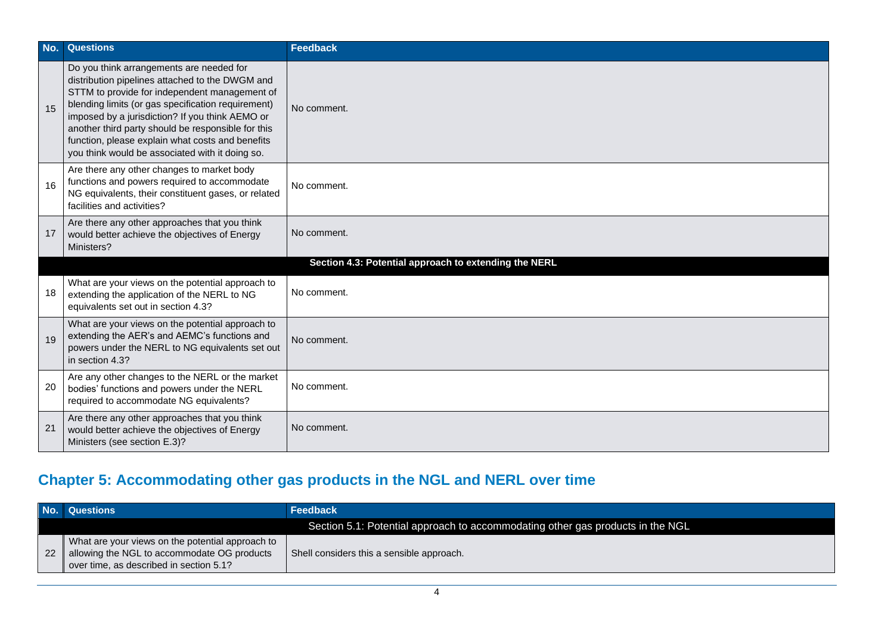| No. | <b>Questions</b>                                                                                                                                                                                                                                                                                                                                                                                                   | <b>Feedback</b>                                       |
|-----|--------------------------------------------------------------------------------------------------------------------------------------------------------------------------------------------------------------------------------------------------------------------------------------------------------------------------------------------------------------------------------------------------------------------|-------------------------------------------------------|
| 15  | Do you think arrangements are needed for<br>distribution pipelines attached to the DWGM and<br>STTM to provide for independent management of<br>blending limits (or gas specification requirement)<br>imposed by a jurisdiction? If you think AEMO or<br>another third party should be responsible for this<br>function, please explain what costs and benefits<br>you think would be associated with it doing so. | No comment.                                           |
| 16  | Are there any other changes to market body<br>functions and powers required to accommodate<br>NG equivalents, their constituent gases, or related<br>facilities and activities?                                                                                                                                                                                                                                    | No comment.                                           |
| 17  | Are there any other approaches that you think<br>would better achieve the objectives of Energy<br>Ministers?                                                                                                                                                                                                                                                                                                       | No comment.                                           |
|     |                                                                                                                                                                                                                                                                                                                                                                                                                    | Section 4.3: Potential approach to extending the NERL |
| 18  | What are your views on the potential approach to<br>extending the application of the NERL to NG<br>equivalents set out in section 4.3?                                                                                                                                                                                                                                                                             | No comment.                                           |
| 19  | What are your views on the potential approach to<br>extending the AER's and AEMC's functions and<br>powers under the NERL to NG equivalents set out<br>in section 4.3?                                                                                                                                                                                                                                             | No comment.                                           |
| 20  | Are any other changes to the NERL or the market<br>bodies' functions and powers under the NERL<br>required to accommodate NG equivalents?                                                                                                                                                                                                                                                                          | No comment.                                           |
| 21  | Are there any other approaches that you think<br>would better achieve the objectives of Energy<br>Ministers (see section E.3)?                                                                                                                                                                                                                                                                                     | No comment.                                           |

## **Chapter 5: Accommodating other gas products in the NGL and NERL over time**

| No. Questions                                                                                                                                 | <b>Feedback</b>                                                                |
|-----------------------------------------------------------------------------------------------------------------------------------------------|--------------------------------------------------------------------------------|
|                                                                                                                                               | Section 5.1: Potential approach to accommodating other gas products in the NGL |
| What are your views on the potential approach to<br>22 allowing the NGL to accommodate OG products<br>over time, as described in section 5.1? | Shell considers this a sensible approach.                                      |